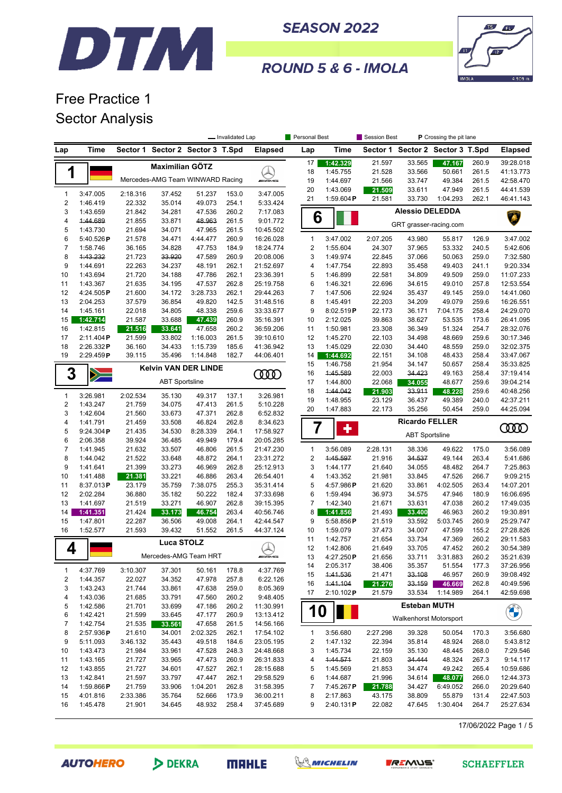



**ROUND 5 & 6 - IMOLA** 

# Free Practice 1 Sector Analysis

|                  |                      |                    |                       |                                  | - Invalidated Lap |                                          | Personal Best |                       | Session Best     |                               |                        | P Crossing the pit lane<br>Sector 2 Sector 3 T.Spd |                        |
|------------------|----------------------|--------------------|-----------------------|----------------------------------|-------------------|------------------------------------------|---------------|-----------------------|------------------|-------------------------------|------------------------|----------------------------------------------------|------------------------|
| Lap              | Time                 | Sector 1           |                       | Sector 2 Sector 3 T.Spd          |                   | <b>Elapsed</b>                           | Lap           | <b>Time</b>           | Sector 1         |                               |                        |                                                    | <b>Elapsed</b>         |
|                  |                      |                    | Maximilian GÖTZ       |                                  |                   |                                          | 17            | 1:42.329              | 21.597           | 33.565                        | 47.167                 | 260.9                                              | 39:28.018              |
| 1                |                      |                    |                       |                                  |                   |                                          | 18            | 1:45.755              | 21.528           | 33.566                        | 50.661                 | 261.5                                              | 41:13.773              |
|                  |                      |                    |                       | Mercedes-AMG Team WINWARD Racing |                   | <b>WEMS</b>                              | 19            | 1:44.697              | 21.566           | 33.747                        | 49.384                 | 261.5                                              | 42:58.470              |
| $\mathbf{1}$     | 3:47.005             | 2:18.316           | 37.452                | 51.237                           | 153.0             | 3:47.005                                 | 20            | 1:43.069              | 21.509           | 33.611                        | 47.949                 | 261.5                                              | 44:41.539              |
| $\boldsymbol{2}$ | 1:46.419             | 22.332             | 35.014                | 49.073                           | 254.1             | 5:33.424                                 | 21            | 1:59.604P             | 21.581           | 33.730                        | 1:04.293               | 262.1                                              | 46:41.143              |
| 3                | 1:43.659             | 21.842             | 34.281                | 47.536                           | 260.2             | 7:17.083                                 |               |                       |                  | <b>Alessio DELEDDA</b>        |                        |                                                    |                        |
| 4                | 1:44.689             | 21.855             | 33.871                | 48.963                           | 261.5             | 9:01.772                                 |               | 6                     |                  |                               |                        |                                                    |                        |
| 5                | 1:43.730             | 21.694             | 34.071                | 47.965                           | 261.5             | 10:45.502                                |               |                       |                  |                               | GRT grasser-racing.com |                                                    |                        |
| 6                | 5:40.526P            | 21.578             | 34.471                | 4:44.477                         | 260.9             | 16:26.028                                | 1             | 3:47.002              | 2:07.205         | 43.980                        | 55.817                 | 126.9                                              | 3:47.002               |
| 7                | 1:58.746             | 36.165             | 34.828                | 47.753                           | 184.9             | 18:24.774                                | 2             | 1:55.604              | 24.307           | 37.965                        | 53.332                 | 240.5                                              | 5:42.606               |
| 8                | 1:43.232             | 21.723             | 33.920                | 47.589                           | 260.9             | 20:08.006                                | 3             | 1:49.974              | 22.845           | 37.066                        | 50.063                 | 259.0                                              | 7:32.580               |
| 9                | 1:44.691             | 22.263             | 34.237                | 48.191                           | 262.1             | 21:52.697                                | 4             | 1:47.754              | 22.893           | 35.458                        | 49.403                 | 241.1                                              | 9:20.334               |
| 10               | 1:43.694             | 21.720             | 34.188                | 47.786                           | 262.1             | 23:36.391                                | 5             | 1:46.899              | 22.581           | 34.809                        | 49.509                 | 259.0                                              | 11:07.233              |
| 11               | 1:43.367             | 21.635             | 34.195                | 47.537                           | 262.8             | 25:19.758                                | 6             | 1:46.321              | 22.696           | 34.615                        | 49.010                 | 257.8                                              | 12:53.554              |
| 12               | 4:24.505P            | 21.600             | 34.172                | 3:28.733                         | 262.1             | 29:44.263                                | 7             | 1:47.506              | 22.924           | 35.437                        | 49.145                 | 259.0                                              | 14:41.060              |
| 13               | 2:04.253             | 37.579             | 36.854                | 49.820                           | 142.5             | 31:48.516                                | 8             | 1:45.491              | 22.203           | 34.209                        | 49.079                 | 259.6                                              | 16:26.551              |
| 14               | 1:45.161             | 22.018             | 34.805                | 48.338                           | 259.6             | 33:33.677<br>35:16.391                   | 9             | 8:02.519P             | 22.173           | 36.171                        | 7:04.175               | 258.4                                              | 24:29.070              |
| 15<br>16         | 1:42.714<br>1:42.815 | 21.587<br>21.516   | 33.688<br>33.641      | 47.439<br>47.658                 | 260.9<br>260.2    | 36:59.206                                | 10<br>11      | 2:12.025<br>1:50.981  | 39.863<br>23.308 | 38.627<br>36.349              | 53.535<br>51.324       | 173.6<br>254.7                                     | 26:41.095<br>28:32.076 |
| 17               | 2:11.404P            | 21.599             | 33.802                | 1:16.003                         | 261.5             | 39:10.610                                | 12            | 1:45.270              | 22.103           | 34.498                        | 48.669                 | 259.6                                              | 30:17.346              |
| 18               | 2:26.332P            | 36.160             | 34.433                | 1:15.739                         | 185.6             | 41:36.942                                | 13            | 1:45.029              | 22.030           | 34.440                        | 48.559                 | 259.0                                              | 32:02.375              |
| 19               | 2:29.459P            | 39.115             | 35.496                | 1:14.848                         | 182.7             | 44:06.401                                | 14            | 1:44.692              | 22.151           | 34.108                        | 48.433                 | 258.4                                              | 33:47.067              |
|                  |                      |                    |                       |                                  |                   |                                          | 15            | 1:46.758              | 21.954           | 34.147                        | 50.657                 | 258.4                                              | 35:33.825              |
| 3                | $\gg$                |                    |                       | <b>Kelvin VAN DER LINDE</b>      |                   | 0000                                     | 16            | 1:45.589              | 22.003           | 34.423                        | 49.163                 | 258.4                                              | 37:19.414              |
|                  |                      |                    | <b>ABT Sportsline</b> |                                  |                   |                                          | 17            | 1:44.800              | 22.068           | 34.055                        | 48.677                 | 259.6                                              | 39:04.214              |
|                  |                      |                    |                       |                                  |                   |                                          | 18            | 1:44.042              | 21.903           | 33.911                        | 48.228                 | 259.6                                              | 40:48.256              |
| 1<br>$\sqrt{2}$  | 3:26.981             | 2:02.534<br>21.759 | 35.130                | 49.317                           | 137.1             | 3:26.981                                 | 19            | 1:48.955              | 23.129           | 36.437                        | 49.389                 | 240.0                                              | 42:37.211              |
| 3                | 1:43.247<br>1:42.604 | 21.560             | 34.075<br>33.673      | 47.413<br>47.371                 | 261.5<br>262.8    | 5:10.228<br>6:52.832                     | 20            | 1:47.883              | 22.173           | 35.256                        | 50.454                 | 259.0                                              | 44:25.094              |
| 4                | 1:41.791             | 21.459             | 33.508                | 46.824                           | 262.8             | 8:34.623                                 |               |                       |                  | <b>Ricardo FELLER</b>         |                        |                                                    |                        |
| 5                | 9:24.304P            | 21.435             | 34.530                | 8:28.339                         | 264.1             | 17:58.927                                |               | ÷                     |                  |                               |                        |                                                    | ഝ                      |
| 6                | 2:06.358             | 39.924             | 36.485                | 49.949                           | 179.4             | 20:05.285                                |               |                       |                  | <b>ABT Sportsline</b>         |                        |                                                    |                        |
| $\overline{7}$   | 1:41.945             | 21.632             | 33.507                | 46.806                           | 261.5             | 21:47.230                                | $\mathbf{1}$  | 3:56.089              | 2:28.131         | 38.336                        | 49.622                 | 175.0                                              | 3:56.089               |
| 8                | 1:44.042             | 21.522             | 33.648                | 48.872                           | 264.1             | 23:31.272                                | 2             | 1:45.597              | 21.916           | 34.537                        | 49.144                 | 263.4                                              | 5:41.686               |
| 9                | 1:41.641             | 21.399             | 33.273                | 46.969                           | 262.8             | 25:12.913                                | 3             | 1:44.177              | 21.640           | 34.055                        | 48.482                 | 264.7                                              | 7:25.863               |
| 10               | 1:41.488             | 21.381             | 33.221                | 46.886                           | 263.4             | 26:54.401                                | 4             | 1:43.352              | 21.981           | 33.845                        | 47.526                 | 266.7                                              | 9:09.215               |
| 11               | 8:37.013P            | 23.179             | 35.759                | 7:38.075                         | 255.3             | 35:31.414                                | 5             | 4:57.986P             | 21.620           | 33.861                        | 4:02.505               | 263.4                                              | 14:07.201              |
| 12               | 2:02.284             | 36.880             | 35.182                | 50.222                           | 182.4             | 37:33.698                                | 6             | 1:59.494              | 36.973           | 34.575                        | 47.946                 | 180.9                                              | 16:06.695              |
| 13               | 1:41.697             | 21.519             | 33.271                | 46.907                           | 262.8             | 39:15.395                                | 7             | 1:42.340              | 21.671           | 33.631                        | 47.038                 | 260.2                                              | 17:49.035              |
| 14               | 1:41.351             | 21.424             | 33.173                | 46.754                           | 263.4             | 40:56.746                                | 8             | 1:41.856              | 21.493           | 33.400                        | 46.963                 | 260.2                                              | 19:30.891              |
| 15               | 1:47.801             | 22.287             | 36.506                | 49.008                           | 264.1             | 42:44.547                                | 9             | 5:58.856P             | 21.519           | 33.592                        | 5:03.745               | 260.9                                              | 25:29.747              |
| 16               | 1:52.577             | 21.593             | 39.432                | 51.552                           | 261.5             | 44:37.124                                | 10            | 1:59.079              | 37.473           | 34.007                        | 47.599                 | 155.2                                              | 27:28.826              |
|                  |                      |                    | <b>Luca STOLZ</b>     |                                  |                   |                                          | 11            | 1:42.757              | 21.654           | 33.734                        | 47.369                 | 260.2                                              | 29:11.583              |
| 4                |                      |                    |                       | Mercedes-AMG Team HRT            |                   | $\curvearrowright$<br><b><i>INNE</i></b> | 12            | 1:42.806              | 21.649           | 33.705                        | 47.452                 | 260.2                                              | 30:54.389              |
|                  |                      |                    |                       |                                  |                   |                                          | 13<br>14      | 4:27.250P<br>2:05.317 | 21.656<br>38.406 | 33.711<br>35.357              | 3:31.883<br>51.554     | 260.2<br>177.3                                     | 35:21.639<br>37:26.956 |
| $\mathbf{1}$     | 4:37.769             | 3:10.307           | 37.301                | 50.161                           | 178.8             | 4:37.769                                 | 15            | 1:41.536              | 21.471           | 33.108                        | 46.957                 | 260.9                                              | 39:08.492              |
| 2                | 1:44.357             | 22.027             | 34.352                | 47.978                           | 257.8             | 6:22.126                                 | 16            | 1:41.104              | 21.276           | 33.159                        | 46.669                 | 262.8                                              | 40:49.596              |
| 3                | 1:43.243             | 21.744             | 33.861                | 47.638                           | 259.0             | 8:05.369                                 | 17            | 2:10.102P             | 21.579           | 33.534                        | 1:14.989               | 264.1                                              | 42:59.698              |
| 4                | 1:43.036             | 21.685             | 33.791                | 47.560                           | 260.2             | 9:48.405                                 |               |                       |                  |                               |                        |                                                    |                        |
| 5                | 1:42.586             | 21.701             | 33.699                | 47.186                           | 260.2             | 11:30.991                                |               | 10                    |                  | <b>Esteban MUTH</b>           |                        |                                                    | <b>CHANGE</b>          |
| 6                | 1:42.421             | 21.599             | 33.645                | 47.177                           | 260.9             | 13:13.412                                |               |                       |                  | <b>Walkenhorst Motorsport</b> |                        |                                                    |                        |
| 7                | 1:42.754             | 21.535             | 33.561                | 47.658                           | 261.5             | 14:56.166                                |               |                       |                  |                               |                        |                                                    |                        |
| 8                | 2:57.936P            | 21.610             | 34.001                | 2:02.325                         | 262.1             | 17:54.102                                | $\mathbf{1}$  | 3:56.680              | 2:27.298         | 39.328                        | 50.054                 | 170.3                                              | 3:56.680               |
| 9                | 5:11.093             | 3:46.132           | 35.443                | 49.518<br>47.528                 | 184.6             | 23:05.195<br>24:48.668                   | 2             | 1:47.132<br>1:45.734  | 22.394           | 35.814                        | 48.924                 | 268.0<br>268.0                                     | 5:43.812               |
| 10<br>11         | 1:43.473<br>1:43.165 | 21.984<br>21.727   | 33.961<br>33.965      | 47.473                           | 248.3<br>260.9    | 26:31.833                                | 3<br>4        | 1:44.571              | 22.159<br>21.803 | 35.130<br>34.444              | 48.445<br>48.324       | 267.3                                              | 7:29.546<br>9:14.117   |
| 12               | 1:43.855             | 21.727             | 34.601                | 47.527                           | 262.1             | 28:15.688                                | 5             | 1:45.569              | 21.853           | 34.474                        | 49.242                 | 265.4                                              | 10:59.686              |
| 13               | 1:42.841             | 21.597             | 33.797                | 47.447                           | 262.1             | 29:58.529                                | 6             | 1:44.687              | 21.996           | 34.614                        | 48.077                 | 266.0                                              | 12:44.373              |
| 14               | 1:59.866 $P$         | 21.759             | 33.906                | 1:04.201                         | 262.8             | 31:58.395                                | 7             | 7:45.267P             | 21.788           | 34.427                        | 6:49.052               | 266.0                                              | 20:29.640              |
| 15               | 4:01.816             | 2:33.386           | 35.764                | 52.666                           | 173.9             | 36:00.211                                | 8             | 2:17.863              | 43.175           | 38.809                        | 55.879                 | 131.4                                              | 22:47.503              |
| 16               | 1:45.478             | 21.901             | 34.645                | 48.932                           | 258.4             | 37:45.689                                | 9             | 2:40.131P             | 22.082           | 47.645                        | 1:30.404               | 264.7                                              | 25:27.634              |
|                  |                      |                    |                       |                                  |                   |                                          |               |                       |                  |                               |                        |                                                    |                        |

17/06/2022 Page 1 / 5

**AUTOHERO** 

DEKRA

**MRHLE** 





**SCHAEFFLER**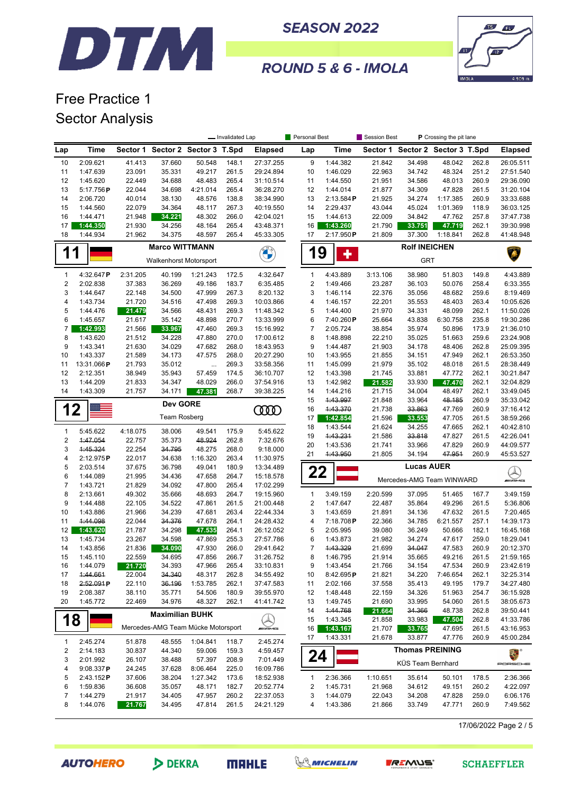



ROUND 5 & 6 - IMOLA

# Free Practice 1 Sector Analysis

|                  |             |          |                                    |           | - Invalidated Lap |                    | Personal Best  |           | Session Best |                                  | P Crossing the pit lane |       |                      |  |
|------------------|-------------|----------|------------------------------------|-----------|-------------------|--------------------|----------------|-----------|--------------|----------------------------------|-------------------------|-------|----------------------|--|
| Lap              | <b>Time</b> |          | Sector 1 Sector 2 Sector 3 T.Spd   |           |                   | <b>Elapsed</b>     | Lap            | Time      |              | Sector 1 Sector 2 Sector 3 T.Spd |                         |       | <b>Elapsed</b>       |  |
| 10               | 2:09.621    | 41.413   | 37.660                             | 50.548    | 148.1             | 27:37.255          | 9              | 1:44.382  | 21.842       | 34.498                           | 48.042                  | 262.8 | 26:05.511            |  |
| 11               | 1:47.639    | 23.091   | 35.331                             | 49.217    | 261.5             | 29:24.894          | 10             | 1:46.029  | 22.963       | 34.742                           | 48.324                  | 251.2 | 27:51.540            |  |
| 12               | 1:45.620    | 22.449   | 34.688                             | 48.483    | 265.4             | 31:10.514          | 11             | 1:44.550  | 21.951       | 34.586                           | 48.013                  | 260.9 | 29:36.090            |  |
| 13               | 5:17.756P   | 22.044   | 34.698                             | 4:21.014  | 265.4             | 36:28.270          | 12             | 1:44.014  | 21.877       | 34.309                           | 47.828                  | 261.5 | 31:20.104            |  |
| 14               | 2:06.720    | 40.014   | 38.130                             | 48.576    | 138.8             | 38:34.990          | 13             | 2:13.584P | 21.925       | 34.274                           | 1:17.385                | 260.9 | 33:33.688            |  |
| 15               | 1:44.560    | 22.079   | 34.364                             | 48.117    | 267.3             | 40:19.550          | 14             | 2:29.437  | 43.044       | 45.024                           | 1:01.369                | 118.9 | 36:03.125            |  |
| 16               | 1:44.471    | 21.948   | 34.221                             | 48.302    | 266.0             | 42:04.021          | 15             | 1:44.613  | 22.009       | 34.842                           | 47.762                  | 257.8 | 37:47.738            |  |
| 17               | 1:44.350    | 21.930   | 34.256                             | 48.164    | 265.4             | 43:48.371          | 16             | 1:43.260  | 21.790       | 33.751                           | 47.719                  | 262.1 | 39:30.998            |  |
| 18               | 1:44.934    | 21.962   | 34.375                             | 48.597    | 265.4             | 45:33.305          | 17             | 2:17.950P | 21.809       | 37.300                           | 1:18.841                | 262.8 | 41:48.948            |  |
| 1                | 1           |          | <b>Marco WITTMANN</b>              |           |                   | <b>CALCIO</b>      | 19             |           |              | <b>Rolf INEICHEN</b>             |                         |       | Â                    |  |
|                  |             |          | Walkenhorst Motorsport             |           |                   |                    |                | ╋         |              | <b>GRT</b>                       |                         |       |                      |  |
| $\mathbf{1}$     | 4:32.647P   | 2:31.205 | 40.199                             | 1:21.243  | 172.5             | 4:32.647           | $\mathbf{1}$   | 4:43.889  | 3:13.106     | 38.980                           | 51.803                  | 149.8 | 4:43.889             |  |
| $\boldsymbol{2}$ | 2:02.838    | 37.383   | 36.269                             | 49.186    | 183.7             | 6:35.485           | $\sqrt{2}$     | 1:49.466  | 23.287       | 36.103                           | 50.076                  | 258.4 | 6:33.355             |  |
| 3                | 1:44.647    | 22.148   | 34.500                             | 47.999    | 267.3             | 8:20.132           | 3              | 1:46.114  | 22.376       | 35.056                           | 48.682                  | 259.6 | 8:19.469             |  |
| $\overline{4}$   | 1:43.734    | 21.720   | 34.516                             | 47.498    | 269.3             | 10:03.866          | 4              | 1:46.157  | 22.201       | 35.553                           | 48.403                  | 263.4 | 10:05.626            |  |
| 5                | 1:44.476    | 21.479   | 34.566                             | 48.431    | 269.3             | 11:48.342          | 5              | 1:44.400  | 21.970       | 34.331                           | 48.099                  | 262.1 | 11:50.026            |  |
| 6                | 1:45.657    | 21.617   | 35.142                             | 48.898    | 270.7             | 13:33.999          | 6              | 7:40.260P | 25.664       | 43.838                           | 6:30.758                | 235.8 | 19:30.286            |  |
| 7                | 1:42.993    | 21.566   | 33.967                             | 47.460    | 269.3             | 15:16.992          | 7              | 2:05.724  | 38.854       | 35.974                           | 50.896                  | 173.9 | 21:36.010            |  |
| 8                | 1:43.620    | 21.512   | 34.228                             | 47.880    | 270.0             | 17:00.612          | 8              | 1:48.898  | 22.210       | 35.025                           | 51.663                  | 259.6 | 23:24.908            |  |
| 9                | 1:43.341    | 21.630   | 34.029                             | 47.682    | 268.0             | 18:43.953          | 9              | 1:44.487  | 21.903       | 34.178                           | 48.406                  | 262.8 | 25:09.395            |  |
| 10               | 1:43.337    | 21.589   | 34.173                             | 47.575    | 268.0             | 20:27.290          | 10             | 1:43.955  | 21.855       | 34.151                           | 47.949                  | 262.1 | 26:53.350            |  |
| 11               | 13:31.066P  | 21.793   | 35.012                             | $\ddotsc$ | 269.3             | 33:58.356          | 11             | 1:45.099  | 21.979       | 35.102                           | 48.018                  | 261.5 | 28:38.449            |  |
| 12               | 2:12.351    | 38.949   | 35.943                             | 57.459    | 174.5             | 36:10.707          | 12             | 1:43.398  | 21.745       | 33.881                           | 47.772                  | 262.1 | 30:21.847            |  |
| 13               | 1:44.209    | 21.833   | 34.347                             | 48.029    | 266.0             | 37:54.916          | 13             | 1:42.982  | 21.582       | 33.930                           | 47.470                  | 262.1 | 32:04.829            |  |
| 14               | 1:43.309    | 21.757   | 34.171                             | 47.381    | 268.7             | 39:38.225          | 14             | 1:44.216  | 21.715       | 34.004                           | 48.497                  | 262.1 | 33:49.045            |  |
|                  |             |          | <b>Dev GORE</b>                    |           |                   |                    | 15             | 1:43.997  | 21.848       | 33.964                           | 48.185                  | 260.9 | 35:33.042            |  |
| 12               |             |          |                                    |           |                   | <b>COOD</b>        | 16             | 1:43.370  | 21.738       | 33.863                           | 47.769                  | 260.9 | 37:16.412            |  |
|                  |             |          | <b>Team Rosberg</b>                |           |                   |                    | 17             | 1:42.854  | 21.596       | 33.553                           | 47.705                  | 261.5 | 38:59.266            |  |
| $\mathbf{1}$     | 5:45.622    | 4:18.075 | 38.006                             | 49.541    | 175.9             | 5:45.622           | 18             | 1:43.544  | 21.624       | 34.255                           | 47.665                  | 262.1 | 40:42.810            |  |
| $\sqrt{2}$       | 4:47.054    | 22.757   | 35.373                             | 48.924    | 262.8             | 7:32.676           | 19             | 1:43.231  | 21.586       | 33.818                           | 47.827                  | 261.5 | 42:26.041            |  |
| 3                | 4:45.324    | 22.254   | 34.795                             | 48.275    | 268.0             | 9:18.000           | 20             | 1:43.536  | 21.741       | 33.966                           | 47.829                  | 260.9 | 44:09.577            |  |
| $\overline{4}$   | 2:12.975P   | 22.017   | 34.638                             | 1:16.320  | 263.4             | 11:30.975          | 21             | 4:43.950  | 21.805       | 34.194                           | 47.951                  | 260.9 | 45:53.527            |  |
| 5                | 2:03.514    | 37.675   | 36.798                             | 49.041    | 180.9             | 13:34.489          |                |           |              | <b>Lucas AUER</b>                |                         |       |                      |  |
| 6                | 1:44.089    | 21.995   | 34.436                             | 47.658    | 264.7             | 15:18.578          | 22             |           |              |                                  |                         |       | $\blacktriangle$     |  |
| $\overline{7}$   | 1:43.721    | 21.829   | 34.092                             | 47.800    | 265.4             | 17:02.299          |                |           |              | Mercedes-AMG Team WINWARD        |                         |       | <b><i>MIT</i>ANE</b> |  |
| 8                | 2:13.661    | 49.302   | 35.666                             | 48.693    | 264.7             | 19:15.960          | $\mathbf{1}$   | 3:49.159  | 2:20.599     | 37.095                           | 51.465                  | 167.7 | 3:49.159             |  |
| 9                | 1:44.488    | 22.105   | 34.522                             | 47.861    | 261.5             | 21:00.448          | $\overline{c}$ | 1:47.647  | 22.487       | 35.864                           | 49.296                  | 261.5 | 5:36.806             |  |
| 10               | 1:43.886    | 21.966   | 34.239                             | 47.681    | 263.4             | 22:44.334          | 3              | 1:43.659  | 21.891       | 34.136                           | 47.632                  | 261.5 | 7:20.465             |  |
| 11               | 4:44.098    | 22.044   | 34.376                             | 47.678    | 264.1             | 24:28.432          | 4              | 7:18.708P | 22.366       | 34.785                           | 6:21.557                | 257.1 | 14:39.173            |  |
| 12               | 1:43.620    | 21.787   | 34.298                             | 47.535    | 264.1             | 26:12.052          | 5              | 2:05.995  | 39.080       | 36.249                           | 50.666                  | 182.1 | 16:45.168            |  |
| 13               | 1:45.734    | 23.267   | 34.598                             | 47.869    | 255.3             | 27:57.786          | 6              | 1:43.873  | 21.982       | 34.274                           | 47.617                  | 259.0 | 18:29.041            |  |
| 14               | 1:43.856    | 21.836   | 34.090                             | 47.930    | 266.0             | 29:41.642          | $\overline{7}$ | 1:43.329  | 21.699       | 34.047                           | 47.583                  | 260.9 | 20:12.370            |  |
| 15               | 1:45.110    | 22.559   | 34.695                             | 47.856    | 266.7             | 31:26.752          | 8              | 1:46.795  | 21.914       | 35.665                           | 49.216                  | 261.5 | 21:59.165            |  |
| 16               | 1:44.079    | 21.720   | 34.393                             | 47.966    | 265.4             | 33:10.831          | 9              | 1:43.454  | 21.766       | 34.154                           | 47.534                  | 260.9 | 23:42.619            |  |
| 17               | 1:44.661    | 22.004   | 34.340                             | 48.317    | 262.8             | 34:55.492          | 10             | 8:42.695P | 21.821       | 34.220                           | 7:46.654                | 262.1 | 32:25.314            |  |
| 18               | 2:52.091P   | 22.110   | 36.196                             | 1:53.785  | 262.1             | 37:47.583          | 11             | 2:02.166  | 37.558       | 35.413                           | 49.195                  | 179.7 | 34:27.480            |  |
| 19               | 2:08.387    | 38.110   | 35.771                             | 54.506    | 180.9             | 39:55.970          | 12             | 1:48.448  | 22.159       | 34.326                           | 51.963                  | 254.7 | 36:15.928            |  |
| 20               | 1:45.772    | 22.469   | 34.976                             | 48.327    | 262.1             | 41:41.742          | 13             | 1:49.745  | 21.690       | 33.995                           | 54.060                  | 261.5 | 38:05.673            |  |
|                  |             |          |                                    |           |                   |                    | 14             | 4:44.768  | 21.664       | 34.366                           | 48.738                  | 262.8 | 39:50.441            |  |
| 18               |             |          | <b>Maximilian BUHK</b>             |           |                   |                    | 15             | 1:43.345  | 21.858       | 33.983                           | 47.504                  | 262.8 | 41:33.786            |  |
|                  |             |          | Mercedes-AMG Team Mücke Motorsport |           |                   | <b><i>INNE</i></b> | 16             | 1:43.167  | 21.707       | 33.765                           | 47.695                  | 261.5 | 43:16.953            |  |
|                  |             |          |                                    |           |                   |                    | 17             | 1:43.331  | 21.678       | 33.877                           | 47.776                  | 260.9 | 45:00.284            |  |
| $\mathbf{1}$     | 2:45.274    | 51.878   | 48.555                             | 1:04.841  | 118.7             | 2:45.274           |                |           |              |                                  |                         |       |                      |  |
| 2                | 2:14.183    | 30.837   | 44.340                             | 59.006    | 159.3             | 4:59.457           | 24             |           |              | <b>Thomas PREINING</b>           |                         |       | E.                   |  |
| 3                | 2:01.992    | 26.107   | 38.488                             | 57.397    | 208.9             | 7:01.449           |                |           |              | KÜS Team Bernhard                |                         |       | PORSCHE              |  |
| 4                | 9:08.337P   | 24.245   | 37.628                             | 8:06.464  | 225.0             | 16:09.786          |                |           |              |                                  |                         |       |                      |  |
| 5                | 2:43.152P   | 37.606   | 38.204                             | 1:27.342  | 173.6             | 18:52.938          | $\mathbf{1}$   | 2:36.366  | 1:10.651     | 35.614                           | 50.101                  | 178.5 | 2:36.366             |  |
| 6                | 1:59.836    | 36.608   | 35.057                             | 48.171    | 182.7             | 20:52.774          | 2              | 1:45.731  | 21.968       | 34.612                           | 49.151                  | 260.2 | 4:22.097             |  |
| $\overline{7}$   | 1:44.279    | 21.917   | 34.405                             | 47.957    | 260.2             | 22:37.053          | 3              | 1:44.079  | 22.043       | 34.208                           | 47.828                  | 259.0 | 6:06.176             |  |
| 8                | 1:44.076    | 21.767   | 34.495                             | 47.814    | 261.5             | 24:21.129          | 4              | 1:43.386  | 21.866       | 33.749                           | 47.771                  | 260.9 | 7:49.562             |  |

17/06/2022 Page 2 / 5



DEKRA





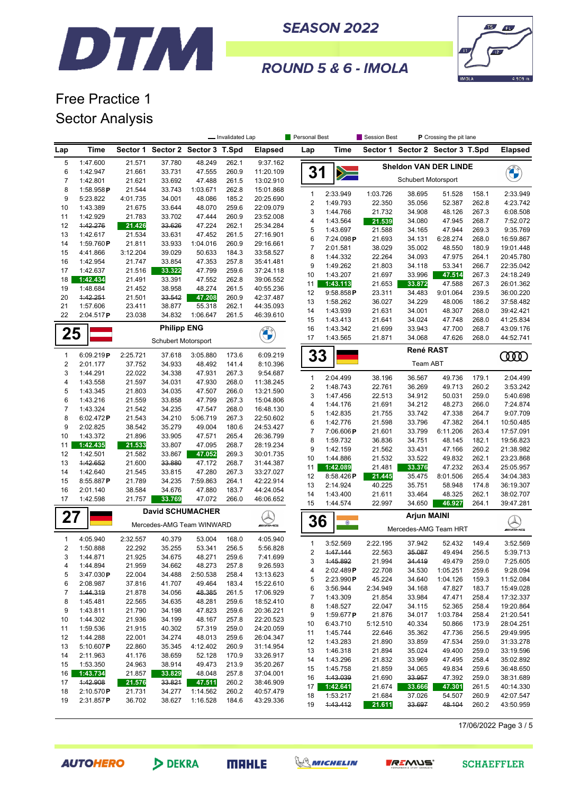



#### **ROUND 5 & 6 - IMOLA**

### Free Practice 1 Sector Analysis

|                |                      |                  |                                  |                  | - Invalidated Lap |                         | <b>Personal Best</b> |                       | Session Best<br>P Crossing the pit lane |                                  |                  |                |                          |
|----------------|----------------------|------------------|----------------------------------|------------------|-------------------|-------------------------|----------------------|-----------------------|-----------------------------------------|----------------------------------|------------------|----------------|--------------------------|
| Lap            | Time                 |                  | Sector 1 Sector 2 Sector 3 T.Spd |                  |                   | <b>Elapsed</b>          | Lap                  | Time                  |                                         | Sector 1 Sector 2 Sector 3 T.Spd |                  |                | <b>Elapsed</b>           |
| 5              | 1:47.600             | 21.571           | 37.780                           | 48.249           | 262.1             | 9:37.162                |                      |                       |                                         | <b>Sheldon VAN DER LINDE</b>     |                  |                |                          |
| 6              | 1:42.947             | 21.661           | 33.731                           | 47.555           | 260.9             | 11:20.109               | 31                   | $\geqslant$           |                                         |                                  |                  |                |                          |
| 7              | 1:42.801             | 21.621           | 33.692                           | 47.488           | 261.5             | 13:02.910               |                      |                       |                                         | Schubert Motorsport              |                  |                |                          |
| 8              | 1:58.958P            | 21.544           | 33.743                           | 1:03.671         | 262.8             | 15:01.868               | $\mathbf{1}$         | 2:33.949              | 1:03.726                                | 38.695                           | 51.528           | 158.1          | 2:33.949                 |
| 9              | 5:23.822             | 4:01.735         | 34.001                           | 48.086           | 185.2             | 20:25.690               | $\sqrt{2}$           | 1:49.793              | 22.350                                  | 35.056                           | 52.387           | 262.8          | 4:23.742                 |
| 10             | 1:43.389             | 21.675           | 33.644                           | 48.070           | 259.6             | 22:09.079               | 3                    | 1:44.766              | 21.732                                  | 34.908                           | 48.126           | 267.3          | 6:08.508                 |
| 11<br>12       | 1:42.929<br>1:42.276 | 21.783<br>21.426 | 33.702<br>33.626                 | 47.444<br>47.224 | 260.9<br>262.1    | 23:52.008<br>25:34.284  | 4                    | 1:43.564              | 21.539                                  | 34.080                           | 47.945           | 268.7          | 7:52.072                 |
| 13             | 1:42.617             | 21.534           | 33.631                           | 47.452           | 261.5             | 27:16.901               | 5                    | 1:43.697              | 21.588                                  | 34.165                           | 47.944           | 269.3          | 9:35.769                 |
| 14             | 1:59.760P            | 21.811           | 33.933                           | 1:04.016         | 260.9             | 29:16.661               | 6                    | 7:24.098P             | 21.693                                  | 34.131                           | 6:28.274         | 268.0          | 16:59.867                |
| 15             | 4:41.866             | 3:12.204         | 39.029                           | 50.633           | 184.3             | 33:58.527               | $\overline{7}$       | 2:01.581              | 38.029                                  | 35.002                           | 48.550           | 180.9          | 19:01.448                |
| 16             | 1:42.954             | 21.747           | 33.854                           | 47.353           | 257.8             | 35:41.481               | 8                    | 1:44.332              | 22.264                                  | 34.093                           | 47.975           | 264.1          | 20:45.780                |
| 17             | 1:42.637             | 21.516           | 33.322                           | 47.799           | 259.6             | 37:24.118               | 9                    | 1:49.262              | 21.803                                  | 34.118                           | 53.341           | 266.7          | 22:35.042                |
| 18             | 1:42.434             | 21.491           | 33.391                           | 47.552           | 262.8             | 39:06.552               | 10                   | 1:43.207              | 21.697                                  | 33.996                           | 47.514<br>47.588 | 267.3<br>267.3 | 24:18.249                |
| 19             | 1:48.684             | 21.452           | 38.958                           | 48.274           | 261.5             | 40:55.236               | 11<br>12             | 1:43.113<br>9:58.858P | 21.653<br>23.311                        | 33.872<br>34.483                 | 9:01.064         | 239.5          | 26:01.362<br>36:00.220   |
| 20             | 1:42.251             | 21.501           | 33.542                           | 47.208           | 260.9             | 42:37.487               | 13                   | 1:58.262              | 36.027                                  | 34.229                           | 48.006           | 186.2          | 37:58.482                |
| 21             | 1:57.606             | 23.411           | 38.877                           | 55.318           | 262.1             | 44:35.093               | 14                   | 1:43.939              | 21.631                                  | 34.001                           | 48.307           | 268.0          | 39:42.421                |
| 22             | 2:04.517P            | 23.038           | 34.832                           | 1:06.647         | 261.5             | 46:39.610               | 15                   | 1:43.413              | 21.641                                  | 34.024                           | 47.748           | 268.0          | 41:25.834                |
|                |                      |                  | <b>Philipp ENG</b>               |                  |                   |                         | 16                   | 1:43.342              | 21.699                                  | 33.943                           | 47.700           | 268.7          | 43:09.176                |
| 25             |                      |                  | Schubert Motorsport              |                  |                   | <b>CALL OF THE CALL</b> | 17                   | 1:43.565              | 21.871                                  | 34.068                           | 47.626           | 268.0          | 44:52.741                |
| 1              | 6:09.219P            | 2:25.721         |                                  | 3:05.880         |                   | 6:09.219                |                      |                       |                                         | René RAST                        |                  |                |                          |
| $\overline{2}$ | 2:01.177             | 37.752           | 37.618<br>34.933                 | 48.492           | 173.6<br>141.4    | 8:10.396                | 33                   |                       |                                         | Team ABT                         |                  |                | ŒŒ                       |
| 3              | 1:44.291             | 22.022           | 34.338                           | 47.931           | 267.3             | 9:54.687                |                      |                       |                                         |                                  |                  |                |                          |
| 4              | 1:43.558             | 21.597           | 34.031                           | 47.930           | 268.0             | 11:38.245               | $\mathbf{1}$         | 2:04.499              | 38.196                                  | 36.567                           | 49.736           | 179.1          | 2:04.499                 |
| 5              | 1:43.345             | 21.803           | 34.035                           | 47.507           | 266.0             | 13:21.590               | $\mathbf 2$          | 1:48.743              | 22.761                                  | 36.269                           | 49.713           | 260.2          | 3:53.242                 |
| 6              | 1:43.216             | 21.559           | 33.858                           | 47.799           | 267.3             | 15:04.806               | 3                    | 1:47.456              | 22.513                                  | 34.912                           | 50.031           | 259.0          | 5:40.698                 |
| 7              | 1:43.324             | 21.542           | 34.235                           | 47.547           | 268.0             | 16:48.130               | 4                    | 1:44.176              | 21.691                                  | 34.212                           | 48.273           | 266.0          | 7:24.874                 |
| 8              | 6:02.472P            | 21.543           | 34.210                           | 5:06.719         | 267.3             | 22:50.602               | 5<br>6               | 1:42.835<br>1:42.776  | 21.755<br>21.598                        | 33.742<br>33.796                 | 47.338<br>47.382 | 264.7<br>264.1 | 9:07.709<br>10:50.485    |
| 9              | 2:02.825             | 38.542           | 35.279                           | 49.004           | 180.6             | 24:53.427               | $\overline{7}$       | 7:06.606P             | 21.601                                  | 33.799                           | 6:11.206         | 263.4          | 17:57.091                |
| 10             | 1:43.372             | 21.896           | 33.905                           | 47.571           | 265.4             | 26:36.799               | 8                    | 1:59.732              | 36.836                                  | 34.751                           | 48.145           | 182.1          | 19:56.823                |
| 11             | 1:42.435             | 21.533           | 33.807                           | 47.095           | 268.7             | 28:19.234               | 9                    | 1:42.159              | 21.562                                  | 33.431                           | 47.166           | 260.2          | 21:38.982                |
| 12             | 1:42.501             | 21.582           | 33.867                           | 47.052           | 269.3             | 30:01.735               | 10                   | 1:44.886              | 21.532                                  | 33.522                           | 49.832           | 262.1          | 23:23.868                |
| 13             | 1:42.652             | 21.600           | 33.880                           | 47.172           | 268.7             | 31:44.387               | 11                   | 1:42.089              | 21.481                                  | 33.376                           | 47.232           | 263.4          | 25:05.957                |
| 14             | 1:42.640             | 21.545           | 33.815                           | 47.280           | 267.3             | 33:27.027               | 12                   | 8:58.426P             | 21.445                                  | 35.475                           | 8:01.506         | 265.4          | 34:04.383                |
| 15<br>16       | 8:55.887P            | 21.789           | 34.235                           | 7:59.863         | 264.1             | 42:22.914               | 13                   | 2:14.924              | 40.225                                  | 35.751                           | 58.948           | 174.8          | 36:19.307                |
| 17             | 2:01.140<br>1:42.598 | 38.584<br>21.757 | 34.676<br>33.769                 | 47.880<br>47.072 | 183.7<br>266.0    | 44:24.054<br>46:06.652  | 14                   | 1:43.400              | 21.611                                  | 33.464                           | 48.325           | 262.1          | 38:02.707                |
|                |                      |                  | <b>David SCHUMACHER</b>          |                  |                   |                         | 15                   | 1:44.574              | 22.997                                  | 34.650                           | 46.927           | 264.1          | 39:47.281                |
| 27             |                      |                  |                                  |                  |                   |                         | 36                   |                       |                                         | <b>Arjun MAINI</b>               |                  |                |                          |
|                |                      |                  | Mercedes-AMG Team WINWARD        |                  |                   | <b><i>INNE</i></b>      |                      | $^{\circ}$            |                                         | Mercedes-AMG Team HRT            |                  |                | $\bigotimes_{m\equiv m}$ |
| 1              | 4:05.940             | 2:32.557         | 40.379                           | 53.004           | 168.0             | 4:05.940                | $\mathbf{1}$         | 3:52.569              | 2:22.195                                | 37.942                           | 52.432           | 149.4          | 3:52.569                 |
| 2              | 1:50.888             | 22.292           | 35.255                           | 53.341           | 256.5             | 5:56.828                | $\overline{2}$       | 1:47.144              | 22.563                                  | 35.087                           | 49.494           | 256.5          | 5:39.713                 |
| 3              | 1:44.871             | 21.925           | 34.675                           | 48.271           | 259.6             | 7:41.699                | 3                    | 1:45.892              | 21.994                                  | 34.419                           | 49.479           | 259.0          | 7:25.605                 |
| 4              | 1:44.894             | 21.959           | 34.662                           | 48.273           | 257.8             | 9:26.593                | 4                    | 2:02.489P             | 22.708                                  | 34.530                           | 1:05.251         | 259.6          | 9:28.094                 |
| 5              | 3:47.030P            | 22.004           | 34.488                           | 2:50.538         | 258.4             | 13:13.623               | 5                    | 2:23.990P             | 45.224                                  | 34.640                           | 1:04.126         | 159.3          | 11:52.084                |
| 6              | 2:08.987             | 37.816           | 41.707                           | 49.464           | 183.4             | 15:22.610               | 6                    | 3:56.944              | 2:34.949                                | 34.168                           | 47.827           | 183.7          | 15:49.028                |
| 7<br>8         | 1:44.319             | 21.878           | 34.056                           | 48.385<br>48.281 | 261.5             | 17:06.929               | $\boldsymbol{7}$     | 1:43.309              | 21.854                                  | 33.984                           | 47.471           | 258.4          | 17:32.337                |
| 9              | 1:45.481<br>1:43.811 | 22.565<br>21.790 | 34.635<br>34.198                 | 47.823           | 259.6<br>259.6    | 18:52.410<br>20:36.221  | 8                    | 1:48.527              | 22.047                                  | 34.115                           | 52.365           | 258.4          | 19:20.864                |
| 10             | 1:44.302             | 21.936           | 34.199                           | 48.167           | 257.8             | 22:20.523               | 9                    | 1:59.677P             | 21.876                                  | 34.017                           | 1:03.784         | 258.4          | 21:20.541                |
| 11             | 1:59.536             | 21.915           | 40.302                           | 57.319           | 259.0             | 24:20.059               | 10                   | 6:43.710              | 5:12.510                                | 40.334                           | 50.866           | 173.9          | 28:04.251                |
| 12             | 1:44.288             | 22.001           | 34.274                           | 48.013           | 259.6             | 26:04.347               | 11                   | 1:45.744              | 22.646                                  | 35.362                           | 47.736           | 256.5          | 29:49.995                |
| 13             | 5:10.607 $P$         | 22.860           | 35.345                           | 4:12.402         | 260.9             | 31:14.954               | 12                   | 1:43.283              | 21.890                                  | 33.859                           | 47.534           | 259.0          | 31:33.278                |
| 14             | 2:11.963             | 41.176           | 38.659                           | 52.128           | 170.9             | 33:26.917               | 13                   | 1:46.318              | 21.894                                  | 35.024                           | 49.400           | 259.0          | 33:19.596                |
| 15             | 1:53.350             | 24.963           | 38.914                           | 49.473           | 213.9             | 35:20.267               | 14                   | 1:43.296              | 21.832                                  | 33.969                           | 47.495           | 258.4          | 35:02.892                |
| 16             | 1:43.734             | 21.857           | 33.829                           | 48.048           | 257.8             | 37:04.001               | 15<br>16             | 1:45.758<br>1:43.039  | 21.859                                  | 34.065<br>33.957                 | 49.834<br>47.392 | 259.6<br>259.0 | 36:48.650                |
| 17             | 1:42.908             | 21.576           | 33.821                           | 47.511           | 260.2             | 38:46.909               | 17                   | 1:42.641              | 21.690<br>21.674                        | 33.666                           | 47.301           | 261.5          | 38:31.689<br>40:14.330   |
| 18             | 2:10.570P            | 21.731           | 34.277                           | 1:14.562         | 260.2             | 40:57.479               | 18                   | 1:53.217              | 21.684                                  | 37.026                           | 54.507           | 260.9          | 42:07.547                |
| 19             | 2:31.857P            | 36.702           | 38.627                           | 1:16.528         | 184.6             | 43:29.336               | 19                   | 1:43.412              | 21.611                                  | 33.697                           | 48.104           | 260.2          | 43:50.959                |

17/06/2022 Page 3 / 5

**AUTOHERO** 





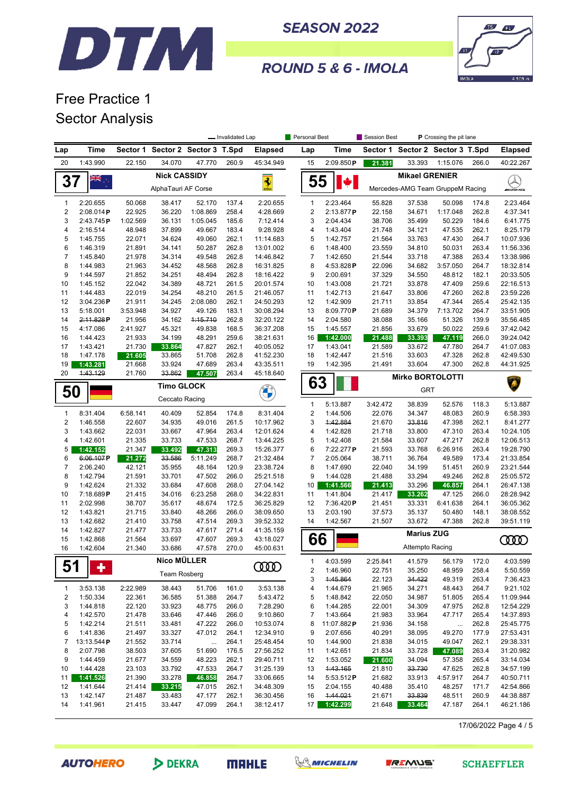



ROUND 5 & 6 - IMOLA

# Free Practice 1 Sector Analysis

|                         |                        |                    |                                     |                         | - Invalidated Lap |                        | Personal Best       |                        | <b>Session Best</b> |                                  | P Crossing the pit lane |                |                        |
|-------------------------|------------------------|--------------------|-------------------------------------|-------------------------|-------------------|------------------------|---------------------|------------------------|---------------------|----------------------------------|-------------------------|----------------|------------------------|
| Lap                     | Time                   | Sector 1           |                                     | Sector 2 Sector 3 T.Spd |                   | <b>Elapsed</b>         | Lap                 | <b>Time</b>            |                     | Sector 1 Sector 2 Sector 3 T.Spd |                         |                | <b>Elapsed</b>         |
| 20                      | 1:43.990               | 22.150             | 34.070                              | 47.770                  | 260.9             | 45:34.949              | 15                  | 2:09.850P              | 21.381              | 33.393                           | 1:15.076                | 266.0          | 40:22.267              |
|                         | W<br>≫K                |                    | <b>Nick CASSIDY</b>                 |                         |                   |                        |                     |                        |                     | <b>Mikael GRENIER</b>            |                         |                |                        |
| 37                      |                        |                    | AlphaTauri AF Corse                 |                         |                   | $\frac{1}{2}$          | 55                  | $\big  \cdot \big $    |                     | Mercedes-AMG Team GruppeM Racing |                         |                | <i>ewi</i> ams         |
|                         |                        |                    |                                     |                         |                   |                        |                     |                        |                     |                                  |                         |                |                        |
| 1<br>2                  | 2:20.655               | 50.068             | 38.417                              | 52.170                  | 137.4             | 2:20.655               | $\mathbf{1}$        | 2:23.464               | 55.828              | 37.538                           | 50.098                  | 174.8          | 2:23.464               |
| 3                       | 2:08.014P<br>2:43.745P | 22.925<br>1:02.569 | 36.220<br>36.131                    | 1:08.869<br>1:05.045    | 258.4<br>185.6    | 4:28.669<br>7:12.414   | $\sqrt{2}$<br>3     | 2:13.877P<br>2:04.434  | 22.158<br>38.706    | 34.671<br>35.499                 | 1:17.048<br>50.229      | 262.8<br>184.6 | 4:37.341<br>6:41.775   |
| 4                       | 2:16.514               | 48.948             | 37.899                              | 49.667                  | 183.4             | 9:28.928               | 4                   | 1:43.404               | 21.748              | 34.121                           | 47.535                  | 262.1          | 8:25.179               |
| 5                       | 1:45.755               | 22.071             | 34.624                              | 49.060                  | 262.1             | 11:14.683              | 5                   | 1:42.757               | 21.564              | 33.763                           | 47.430                  | 264.7          | 10:07.936              |
| 6                       | 1:46.319               | 21.891             | 34.141                              | 50.287                  | 262.8             | 13:01.002              | 6                   | 1:48.400               | 23.559              | 34.810                           | 50.031                  | 263.4          | 11:56.336              |
| $\overline{7}$          | 1:45.840               | 21.978             | 34.314                              | 49.548                  | 262.8             | 14:46.842              | $\overline{7}$      | 1:42.650               | 21.544              | 33.718                           | 47.388                  | 263.4          | 13:38.986              |
| 8                       | 1:44.983               | 21.963             | 34.452                              | 48.568                  | 262.8             | 16:31.825              | 8                   | 4:53.828P              | 22.096              | 34.682                           | 3:57.050                | 264.7          | 18:32.814              |
| 9                       | 1:44.597               | 21.852             | 34.251                              | 48.494                  | 262.8             | 18:16.422              | 9                   | 2:00.691               | 37.329              | 34.550                           | 48.812                  | 182.1          | 20:33.505              |
| 10                      | 1:45.152               | 22.042             | 34.389                              | 48.721                  | 261.5             | 20:01.574              | 10                  | 1:43.008               | 21.721              | 33.878                           | 47.409                  | 259.6          | 22:16.513              |
| 11                      | 1:44.483               | 22.019             | 34.254                              | 48.210                  | 261.5             | 21:46.057              | 11                  | 1:42.713               | 21.647              | 33.806                           | 47.260                  | 262.8          | 23:59.226              |
| 12                      | 3:04.236P              | 21.911             | 34.245                              | 2:08.080                | 262.1             | 24:50.293              | 12                  | 1:42.909               | 21.711              | 33.854                           | 47.344                  | 265.4          | 25:42.135              |
| 13                      | 5:18.001               | 3:53.948           | 34.927                              | 49.126                  | 183.1             | 30:08.294              | 13                  | 8:09.770P              | 21.689              | 34.379                           | 7:13.702                | 264.7          | 33:51.905              |
| 14                      | 2:11.828P              | 21.956             | 34.162                              | 1:15.710                | 262.8             | 32:20.122              | 14                  | 2:04.580               | 38.088              | 35.166                           | 51.326                  | 139.9          | 35:56.485              |
| 15                      | 4:17.086               | 2:41.927           | 45.321                              | 49.838                  | 168.5             | 36:37.208              | 15                  | 1:45.557<br>1:42.000   | 21.856              | 33.679                           | 50.022                  | 259.6          | 37:42.042              |
| 16<br>17                | 1:44.423<br>1:43.421   | 21.933<br>21.730   | 34.199<br>33.864                    | 48.291<br>47.827        | 259.6<br>262.1    | 38:21.631<br>40:05.052 | 16<br>17            | 1:43.041               | 21.488<br>21.589    | 33.393<br>33.672                 | 47.119<br>47.780        | 266.0<br>264.7 | 39:24.042<br>41:07.083 |
| 18                      | 1:47.178               | 21.605             | 33.865                              | 51.708                  | 262.8             | 41:52.230              | 18                  | 1:42.447               | 21.516              | 33.603                           | 47.328                  | 262.8          | 42:49.530              |
| 19                      | 1:43.281               | 21.668             | 33.924                              | 47.689                  | 263.4             | 43:35.511              | 19                  | 1:42.395               | 21.491              | 33.604                           | 47.300                  | 262.8          | 44:31.925              |
| 20                      | 4:43.129               | 21.760             | 33.862                              | 47.507                  | 263.4             | 45:18.640              |                     |                        |                     |                                  |                         |                |                        |
|                         |                        |                    |                                     |                         |                   |                        | 63                  |                        |                     | <b>Mirko BORTOLOTTI</b>          |                         |                | $\sqrt{2}$             |
|                         | 50                     |                    | <b>Timo GLOCK</b><br>Ceccato Racing |                         |                   | <b>CALL</b>            |                     |                        |                     | <b>GRT</b>                       |                         |                |                        |
|                         |                        |                    |                                     |                         |                   |                        | $\mathbf{1}$        | 5:13.887               | 3:42.472            | 38.839                           | 52.576                  | 118.3          | 5:13.887               |
| 1                       | 8:31.404               | 6:58.141           | 40.409                              | 52.854                  | 174.8             | 8:31.404               | $\sqrt{2}$          | 1:44.506               | 22.076              | 34.347                           | 48.083                  | 260.9          | 6:58.393               |
| $\overline{2}$          | 1:46.558               | 22.607             | 34.935                              | 49.016                  | 261.5             | 10:17.962              | 3                   | 1:42.884               | 21.670              | 33.816                           | 47.398                  | 262.1          | 8:41.277               |
| 3                       | 1:43.662               | 22.031             | 33.667                              | 47.964                  | 263.4             | 12:01.624              | 4                   | 1:42.828               | 21.718              | 33.800                           | 47.310                  | 263.4          | 10:24.105              |
| 4                       | 1:42.601               | 21.335             | 33.733                              | 47.533                  | 268.7             | 13:44.225              | 5                   | 1:42.408               | 21.584              | 33.607                           | 47.217                  | 262.8          | 12:06.513              |
| 5                       | 1:42.152               | 21.347             | 33.492                              | 47.313                  | 269.3             | 15:26.377              | 6                   | 7:22.277P              | 21.593              | 33.768                           | 6:26.916                | 263.4          | 19:28.790              |
| 6<br>$\overline{7}$     | 6:06.107P<br>2:06.240  | 21.272             | 33.586<br>35.955                    | 5:11.249<br>48.164      | 268.7<br>120.9    | 21:32.484              | $\overline{7}$<br>8 | 2:05.064<br>1:47.690   | 38.711              | 36.764                           | 49.589<br>51.451        | 173.4<br>260.9 | 21:33.854              |
| 8                       | 1:42.794               | 42.121<br>21.591   | 33.701                              | 47.502                  | 266.0             | 23:38.724<br>25:21.518 | 9                   | 1:44.028               | 22.040<br>21.488    | 34.199<br>33.294                 | 49.246                  | 262.8          | 23:21.544<br>25:05.572 |
| 9                       | 1:42.624               | 21.332             | 33.684                              | 47.608                  | 268.0             | 27:04.142              | 10                  | 1:41.566               | 21.413              | 33.296                           | 46.857                  | 264.1          | 26:47.138              |
| 10                      | 7:18.689P              | 21.415             | 34.016                              | 6:23.258                | 268.0             | 34:22.831              | 11                  | 1:41.804               | 21.417              | 33.262                           | 47.125                  | 266.0          | 28:28.942              |
| 11                      | 2:02.998               | 38.707             | 35.617                              | 48.674                  | 172.5             | 36:25.829              | 12                  | 7:36.420P              | 21.451              | 33.331                           | 6:41.638                | 264.1          | 36:05.362              |
| 12                      | 1:43.821               | 21.715             | 33.840                              | 48.266                  | 266.0             | 38:09.650              | 13                  | 2:03.190               | 37.573              | 35.137                           | 50.480                  | 148.1          | 38:08.552              |
| 13                      | 1:42.682               | 21.410             | 33.758                              | 47.514                  | 269.3             | 39:52.332              | 14                  | 1:42.567               | 21.507              | 33.672                           | 47.388                  | 262.8          | 39:51.119              |
| 14                      | 1:42.827               | 21.477             | 33.733                              | 47.617                  | 271.4             | 41:35.159              |                     |                        |                     | <b>Marius ZUG</b>                |                         |                |                        |
| 15                      | 1:42.868               | 21.564             | 33.697                              | 47.607                  | 269.3             | 43:18.027              | 66                  |                        |                     |                                  |                         |                | <b>COOD</b>            |
| 16                      | 1:42.604               | 21.340             | 33.686                              | 47.578                  | 270.0             | 45:00.631              |                     |                        |                     | Attempto Racing                  |                         |                |                        |
|                         |                        |                    | <b>Nico MÜLLER</b>                  |                         |                   |                        | 1                   | 4:03.599               | 2:25.841            | 41.579                           | 56.179                  | 172.0          | 4:03.599               |
| 51                      | ٠                      |                    | Team Rosberg                        |                         |                   | ഝ                      | $\sqrt{2}$          | 1:46.960               | 22.751              | 35.250                           | 48.959                  | 258.4          | 5:50.559               |
|                         |                        |                    |                                     |                         |                   |                        | 3                   | 1:45.864               | 22.123              | 34.422                           | 49.319                  | 263.4          | 7:36.423               |
| 1                       | 3:53.138               | 2:22.989           | 38.443                              | 51.706                  | 161.0             | 3:53.138               | 4                   | 1:44.679               | 21.965              | 34.271                           | 48.443                  | 264.7          | 9:21.102               |
| $\overline{\mathbf{c}}$ | 1:50.334               | 22.361             | 36.585                              | 51.388                  | 264.7             | 5:43.472               | 5                   | 1:48.842               | 22.050              | 34.987                           | 51.805                  | 265.4          | 11:09.944              |
| 3                       | 1:44.818               | 22.120             | 33.923                              | 48.775                  | 266.0             | 7:28.290               | 6                   | 1:44.285               | 22.001              | 34.309                           | 47.975                  | 262.8          | 12:54.229              |
| 4                       | 1:42.570               | 21.478             | 33.646                              | 47.446                  | 266.0             | 9:10.860               | 7                   | 1:43.664               | 21.983              | 33.964                           | 47.717                  | 265.4          | 14:37.893              |
| 5<br>6                  | 1:42.214<br>1:41.836   | 21.511<br>21.497   | 33.481<br>33.327                    | 47.222<br>47.012        | 266.0<br>264.1    | 10:53.074<br>12:34.910 | 8<br>9              | 11:07.882P<br>2:07.656 | 21.936<br>40.291    | 34.158<br>38.095                 | $\cdots$<br>49.270      | 262.8<br>177.9 | 25:45.775<br>27:53.431 |
| 7                       | 13:13.544P             | 21.552             | 33.714                              | $\ddotsc$               | 264.1             | 25:48.454              | 10                  | 1:44.900               | 21.838              | 34.015                           | 49.047                  | 262.1          | 29:38.331              |
| 8                       | 2:07.798               | 38.503             | 37.605                              | 51.690                  | 176.5             | 27:56.252              | 11                  | 1:42.651               | 21.834              | 33.728                           | 47.089                  | 263.4          | 31:20.982              |
| 9                       | 1:44.459               | 21.677             | 34.559                              | 48.223                  | 262.1             | 29:40.711              | 12                  | 1:53.052               | 21.600              | 34.094                           | 57.358                  | 265.4          | 33:14.034              |
| 10                      | 1:44.428               | 23.103             | 33.792                              | 47.533                  | 264.7             | 31:25.139              | 13                  | 1:43.165               | 21.810              | 33.730                           | 47.625                  | 262.8          | 34:57.199              |
| 11                      | 1:41.526               | 21.390             | 33.278                              | 46.858                  | 264.7             | 33:06.665              | 14                  | 5:53.512P              | 21.682              | 33.913                           | 4:57.917                | 264.7          | 40:50.711              |
| 12                      | 1:41.644               | 21.414             | 33.215                              | 47.015                  | 262.1             | 34:48.309              | 15                  | 2:04.155               | 40.488              | 35.410                           | 48.257                  | 171.7          | 42:54.866              |
| 13                      | 1:42.147               | 21.487             | 33.483                              | 47.177                  | 262.1             | 36:30.456              | 16                  | 1:44.021               | 21.671              | 33.839                           | 48.511                  | 260.9          | 44:38.887              |
| 14                      | 1:41.961               | 21.415             | 33.447                              | 47.099                  | 264.1             | 38:12.417              |                     | 17 1:42.299            | 21.648              | 33.464                           | 47.187                  | 264.1          | 46:21.186              |
|                         |                        |                    |                                     |                         |                   |                        |                     |                        |                     |                                  |                         |                |                        |

17/06/2022 Page 4 / 5

**AUTOHERO** 

DEKRA

**MRHLE**